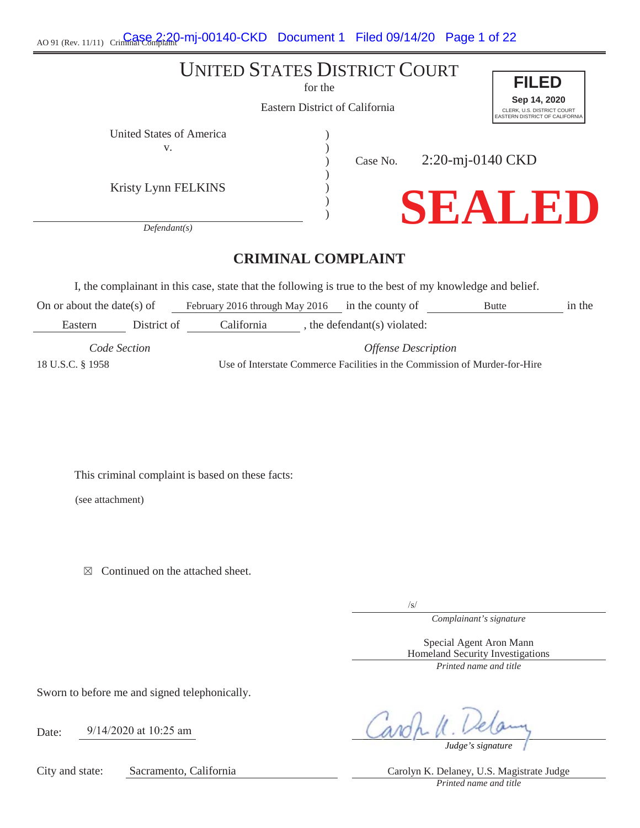AO 91 (Rev. 11/11) Crimina Case 2:20-mj-00140-CKD Document 1 Filed 09/14/20 Page 1 of 22

# UNITED STATES DISTRICT COURT

for the

Eastern District of California

) ) ) ) ) )





United States of America (1999) v.

Kristy Lynn FELKINS

Case No.

2:20-mj-0140 CKD



*Defendant(s)*

# **CRIMINAL COMPLAINT**

I, the complainant in this case, state that the following is true to the best of my knowledge and belief.

On or about the date(s) of February 2016 through May 2016 in the county of Butte in the Eastern District of California , the defendant(s) violated:

*Code Section Offense Description* 18 U.S.C. § 1958 Use of Interstate Commerce Facilities in the Commission of Murder-for-Hire

This criminal complaint is based on these facts:

(see attachment)

 $\boxtimes$  Continued on the attached sheet.

 $\sqrt{s}$ 

*Complainant's signature*

Special Agent Aron Mann Homeland Security Investigations *Printed name and title*

Sworn to before me and signed telephonically.

Date: 9/14/2020 at 10:25 am

City and state: Sacramento, California Carolyn K. Delaney, U.S. Magistrate Judge

*Judge's signature*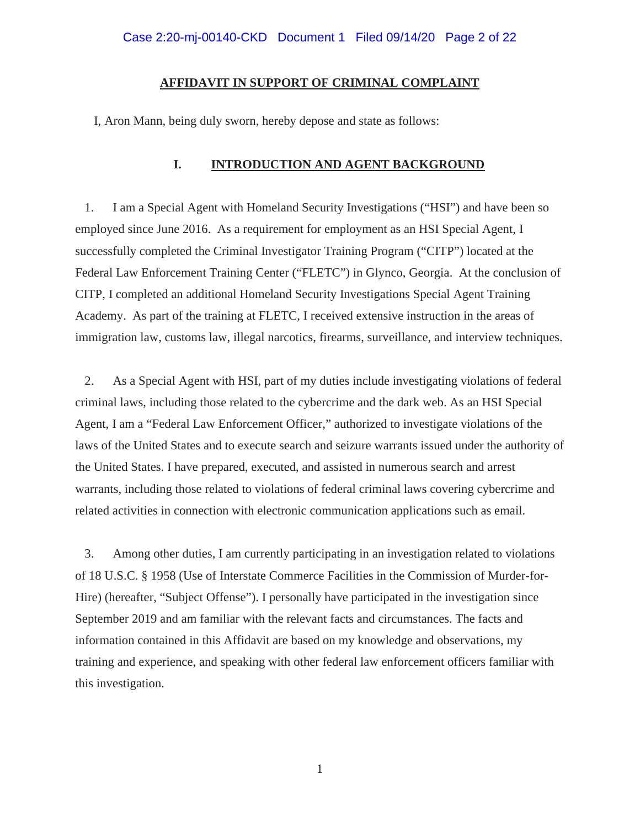#### **AFFIDAVIT IN SUPPORT OF CRIMINAL COMPLAINT**

I, Aron Mann, being duly sworn, hereby depose and state as follows:

# **I. INTRODUCTION AND AGENT BACKGROUND**

1. I am a Special Agent with Homeland Security Investigations ("HSI") and have been so employed since June 2016. As a requirement for employment as an HSI Special Agent, I successfully completed the Criminal Investigator Training Program ("CITP") located at the Federal Law Enforcement Training Center ("FLETC") in Glynco, Georgia. At the conclusion of CITP, I completed an additional Homeland Security Investigations Special Agent Training Academy. As part of the training at FLETC, I received extensive instruction in the areas of immigration law, customs law, illegal narcotics, firearms, surveillance, and interview techniques.

2. As a Special Agent with HSI, part of my duties include investigating violations of federal criminal laws, including those related to the cybercrime and the dark web. As an HSI Special Agent, I am a "Federal Law Enforcement Officer," authorized to investigate violations of the laws of the United States and to execute search and seizure warrants issued under the authority of the United States. I have prepared, executed, and assisted in numerous search and arrest warrants, including those related to violations of federal criminal laws covering cybercrime and related activities in connection with electronic communication applications such as email.

3. Among other duties, I am currently participating in an investigation related to violations of 18 U.S.C. § 1958 (Use of Interstate Commerce Facilities in the Commission of Murder-for-Hire) (hereafter, "Subject Offense"). I personally have participated in the investigation since September 2019 and am familiar with the relevant facts and circumstances. The facts and information contained in this Affidavit are based on my knowledge and observations, my training and experience, and speaking with other federal law enforcement officers familiar with this investigation.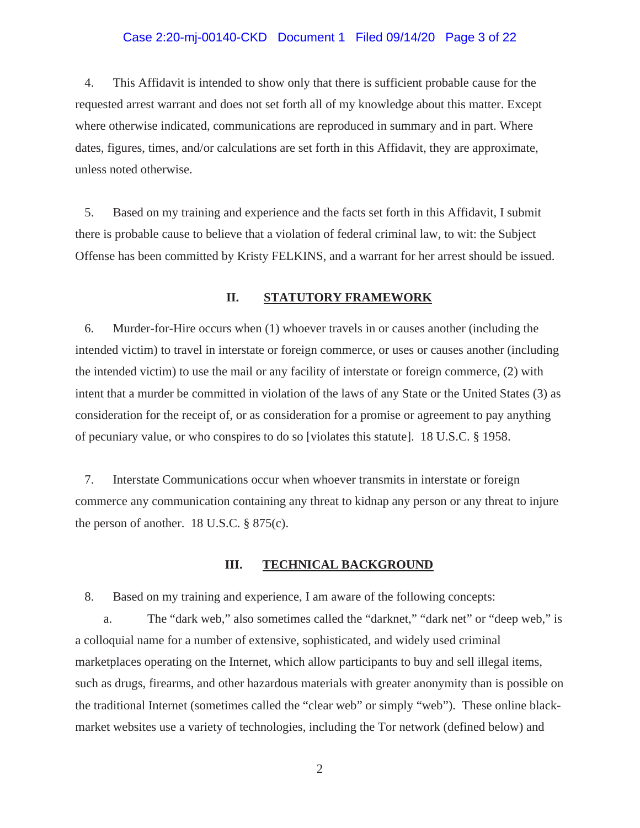#### Case 2:20-mj-00140-CKD Document 1 Filed 09/14/20 Page 3 of 22

4. This Affidavit is intended to show only that there is sufficient probable cause for the requested arrest warrant and does not set forth all of my knowledge about this matter. Except where otherwise indicated, communications are reproduced in summary and in part. Where dates, figures, times, and/or calculations are set forth in this Affidavit, they are approximate, unless noted otherwise.

5. Based on my training and experience and the facts set forth in this Affidavit, I submit there is probable cause to believe that a violation of federal criminal law, to wit: the Subject Offense has been committed by Kristy FELKINS, and a warrant for her arrest should be issued.

#### **II. STATUTORY FRAMEWORK**

6. Murder-for-Hire occurs when (1) whoever travels in or causes another (including the intended victim) to travel in interstate or foreign commerce, or uses or causes another (including the intended victim) to use the mail or any facility of interstate or foreign commerce, (2) with intent that a murder be committed in violation of the laws of any State or the United States (3) as consideration for the receipt of, or as consideration for a promise or agreement to pay anything of pecuniary value, or who conspires to do so [violates this statute]. 18 U.S.C. § 1958.

7. Interstate Communications occur when whoever transmits in interstate or foreign commerce any communication containing any threat to kidnap any person or any threat to injure the person of another. 18 U.S.C. § 875(c).

#### **III. TECHNICAL BACKGROUND**

8. Based on my training and experience, I am aware of the following concepts:

a. The "dark web," also sometimes called the "darknet," "dark net" or "deep web," is a colloquial name for a number of extensive, sophisticated, and widely used criminal marketplaces operating on the Internet, which allow participants to buy and sell illegal items, such as drugs, firearms, and other hazardous materials with greater anonymity than is possible on the traditional Internet (sometimes called the "clear web" or simply "web"). These online blackmarket websites use a variety of technologies, including the Tor network (defined below) and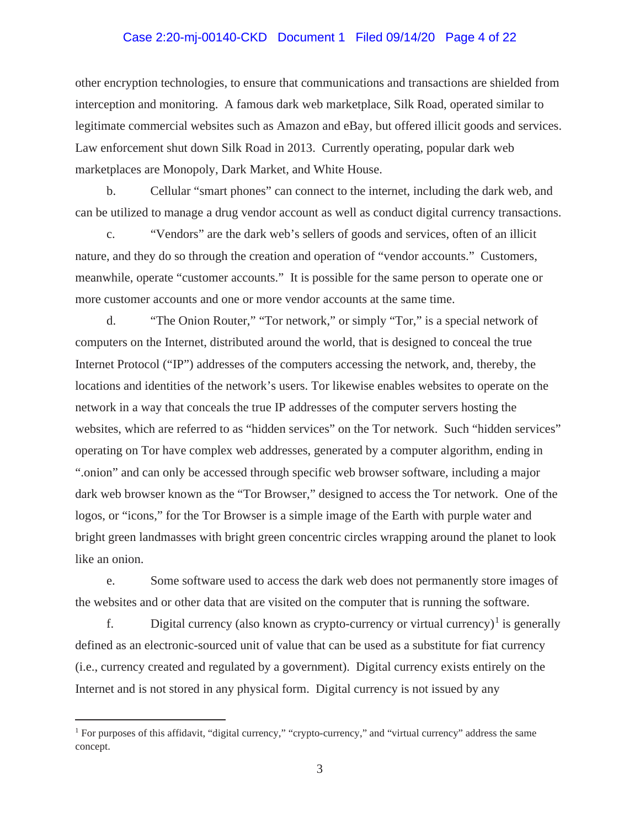# Case 2:20-mj-00140-CKD Document 1 Filed 09/14/20 Page 4 of 22

other encryption technologies, to ensure that communications and transactions are shielded from interception and monitoring. A famous dark web marketplace, Silk Road, operated similar to legitimate commercial websites such as Amazon and eBay, but offered illicit goods and services. Law enforcement shut down Silk Road in 2013. Currently operating, popular dark web marketplaces are Monopoly, Dark Market, and White House.

b. Cellular "smart phones" can connect to the internet, including the dark web, and can be utilized to manage a drug vendor account as well as conduct digital currency transactions.

c. "Vendors" are the dark web's sellers of goods and services, often of an illicit nature, and they do so through the creation and operation of "vendor accounts." Customers, meanwhile, operate "customer accounts." It is possible for the same person to operate one or more customer accounts and one or more vendor accounts at the same time.

d. "The Onion Router," "Tor network," or simply "Tor," is a special network of computers on the Internet, distributed around the world, that is designed to conceal the true Internet Protocol ("IP") addresses of the computers accessing the network, and, thereby, the locations and identities of the network's users. Tor likewise enables websites to operate on the network in a way that conceals the true IP addresses of the computer servers hosting the websites, which are referred to as "hidden services" on the Tor network. Such "hidden services" operating on Tor have complex web addresses, generated by a computer algorithm, ending in ".onion" and can only be accessed through specific web browser software, including a major dark web browser known as the "Tor Browser," designed to access the Tor network. One of the logos, or "icons," for the Tor Browser is a simple image of the Earth with purple water and bright green landmasses with bright green concentric circles wrapping around the planet to look like an onion.

e. Some software used to access the dark web does not permanently store images of the websites and or other data that are visited on the computer that is running the software.

f. Digital currency (also known as crypto-currency or virtual currency)<sup>1</sup> is generally defined as an electronic-sourced unit of value that can be used as a substitute for fiat currency (i.e., currency created and regulated by a government). Digital currency exists entirely on the Internet and is not stored in any physical form. Digital currency is not issued by any

<sup>&</sup>lt;sup>1</sup> For purposes of this affidavit, "digital currency," "crypto-currency," and "virtual currency" address the same concept.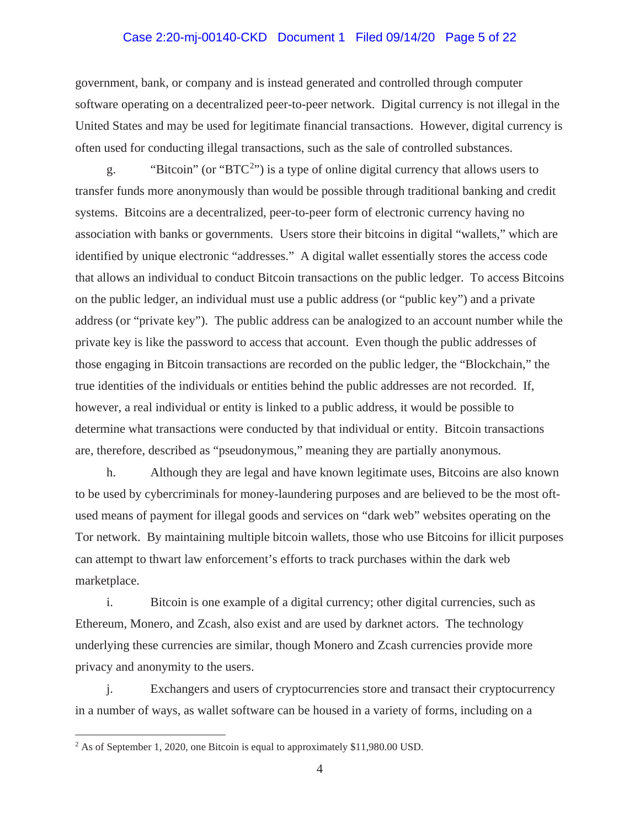# Case 2:20-mj-00140-CKD Document 1 Filed 09/14/20 Page 5 of 22

government, bank, or company and is instead generated and controlled through computer software operating on a decentralized peer-to-peer network. Digital currency is not illegal in the United States and may be used for legitimate financial transactions. However, digital currency is often used for conducting illegal transactions, such as the sale of controlled substances.

g. "Bitcoin" (or "BTC<sup>2</sup>") is a type of online digital currency that allows users to transfer funds more anonymously than would be possible through traditional banking and credit systems. Bitcoins are a decentralized, peer-to-peer form of electronic currency having no association with banks or governments. Users store their bitcoins in digital "wallets," which are identified by unique electronic "addresses." A digital wallet essentially stores the access code that allows an individual to conduct Bitcoin transactions on the public ledger. To access Bitcoins on the public ledger, an individual must use a public address (or "public key") and a private address (or "private key"). The public address can be analogized to an account number while the private key is like the password to access that account. Even though the public addresses of those engaging in Bitcoin transactions are recorded on the public ledger, the "Blockchain," the true identities of the individuals or entities behind the public addresses are not recorded. If, however, a real individual or entity is linked to a public address, it would be possible to determine what transactions were conducted by that individual or entity. Bitcoin transactions are, therefore, described as "pseudonymous," meaning they are partially anonymous.

h. Although they are legal and have known legitimate uses, Bitcoins are also known to be used by cybercriminals for money-laundering purposes and are believed to be the most oftused means of payment for illegal goods and services on "dark web" websites operating on the Tor network. By maintaining multiple bitcoin wallets, those who use Bitcoins for illicit purposes can attempt to thwart law enforcement's efforts to track purchases within the dark web marketplace.

i. Bitcoin is one example of a digital currency; other digital currencies, such as Ethereum, Monero, and Zcash, also exist and are used by darknet actors. The technology underlying these currencies are similar, though Monero and Zcash currencies provide more privacy and anonymity to the users.

j. Exchangers and users of cryptocurrencies store and transact their cryptocurrency in a number of ways, as wallet software can be housed in a variety of forms, including on a

<sup>&</sup>lt;sup>2</sup> As of September 1, 2020, one Bitcoin is equal to approximately \$11,980.00 USD.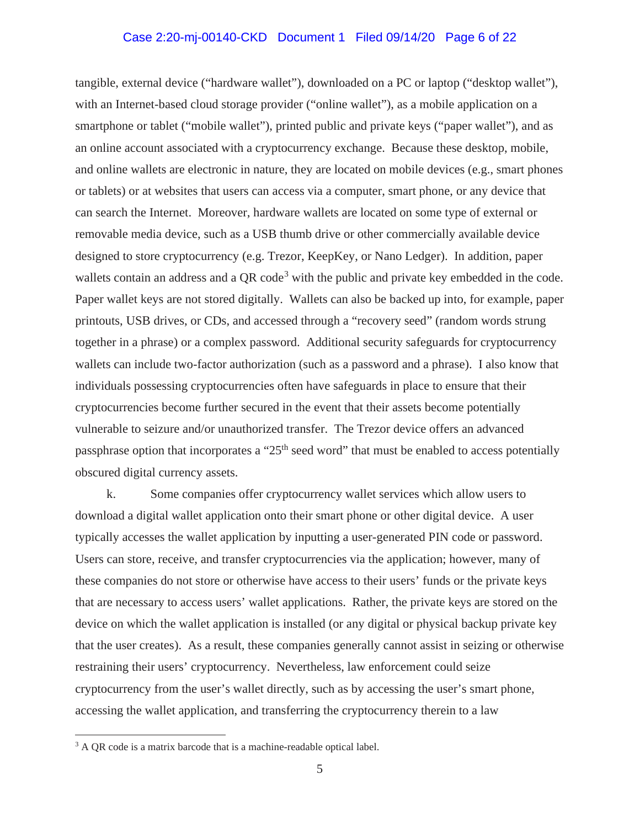# Case 2:20-mj-00140-CKD Document 1 Filed 09/14/20 Page 6 of 22

tangible, external device ("hardware wallet"), downloaded on a PC or laptop ("desktop wallet"), with an Internet-based cloud storage provider ("online wallet"), as a mobile application on a smartphone or tablet ("mobile wallet"), printed public and private keys ("paper wallet"), and as an online account associated with a cryptocurrency exchange. Because these desktop, mobile, and online wallets are electronic in nature, they are located on mobile devices (e.g., smart phones or tablets) or at websites that users can access via a computer, smart phone, or any device that can search the Internet. Moreover, hardware wallets are located on some type of external or removable media device, such as a USB thumb drive or other commercially available device designed to store cryptocurrency (e.g. Trezor, KeepKey, or Nano Ledger). In addition, paper wallets contain an address and a QR code<sup>3</sup> with the public and private key embedded in the code. Paper wallet keys are not stored digitally. Wallets can also be backed up into, for example, paper printouts, USB drives, or CDs, and accessed through a "recovery seed" (random words strung together in a phrase) or a complex password. Additional security safeguards for cryptocurrency wallets can include two-factor authorization (such as a password and a phrase). I also know that individuals possessing cryptocurrencies often have safeguards in place to ensure that their cryptocurrencies become further secured in the event that their assets become potentially vulnerable to seizure and/or unauthorized transfer. The Trezor device offers an advanced passphrase option that incorporates a " $25<sup>th</sup>$  seed word" that must be enabled to access potentially obscured digital currency assets.

k. Some companies offer cryptocurrency wallet services which allow users to download a digital wallet application onto their smart phone or other digital device. A user typically accesses the wallet application by inputting a user-generated PIN code or password. Users can store, receive, and transfer cryptocurrencies via the application; however, many of these companies do not store or otherwise have access to their users' funds or the private keys that are necessary to access users' wallet applications. Rather, the private keys are stored on the device on which the wallet application is installed (or any digital or physical backup private key that the user creates). As a result, these companies generally cannot assist in seizing or otherwise restraining their users' cryptocurrency. Nevertheless, law enforcement could seize cryptocurrency from the user's wallet directly, such as by accessing the user's smart phone, accessing the wallet application, and transferring the cryptocurrency therein to a law

<sup>&</sup>lt;sup>3</sup> A QR code is a matrix barcode that is a machine-readable optical label.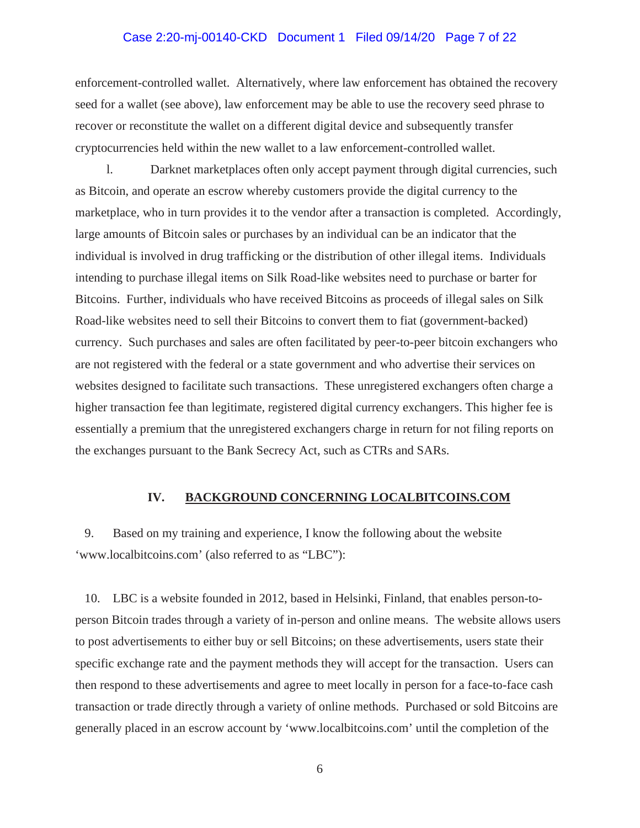# Case 2:20-mj-00140-CKD Document 1 Filed 09/14/20 Page 7 of 22

enforcement-controlled wallet. Alternatively, where law enforcement has obtained the recovery seed for a wallet (see above), law enforcement may be able to use the recovery seed phrase to recover or reconstitute the wallet on a different digital device and subsequently transfer cryptocurrencies held within the new wallet to a law enforcement-controlled wallet.

l. Darknet marketplaces often only accept payment through digital currencies, such as Bitcoin, and operate an escrow whereby customers provide the digital currency to the marketplace, who in turn provides it to the vendor after a transaction is completed. Accordingly, large amounts of Bitcoin sales or purchases by an individual can be an indicator that the individual is involved in drug trafficking or the distribution of other illegal items. Individuals intending to purchase illegal items on Silk Road-like websites need to purchase or barter for Bitcoins. Further, individuals who have received Bitcoins as proceeds of illegal sales on Silk Road-like websites need to sell their Bitcoins to convert them to fiat (government-backed) currency. Such purchases and sales are often facilitated by peer-to-peer bitcoin exchangers who are not registered with the federal or a state government and who advertise their services on websites designed to facilitate such transactions. These unregistered exchangers often charge a higher transaction fee than legitimate, registered digital currency exchangers. This higher fee is essentially a premium that the unregistered exchangers charge in return for not filing reports on the exchanges pursuant to the Bank Secrecy Act, such as CTRs and SARs.

#### **IV. BACKGROUND CONCERNING LOCALBITCOINS.COM**

9. Based on my training and experience, I know the following about the website 'www.localbitcoins.com' (also referred to as "LBC"):

10. LBC is a website founded in 2012, based in Helsinki, Finland, that enables person-toperson Bitcoin trades through a variety of in-person and online means. The website allows users to post advertisements to either buy or sell Bitcoins; on these advertisements, users state their specific exchange rate and the payment methods they will accept for the transaction. Users can then respond to these advertisements and agree to meet locally in person for a face-to-face cash transaction or trade directly through a variety of online methods. Purchased or sold Bitcoins are generally placed in an escrow account by 'www.localbitcoins.com' until the completion of the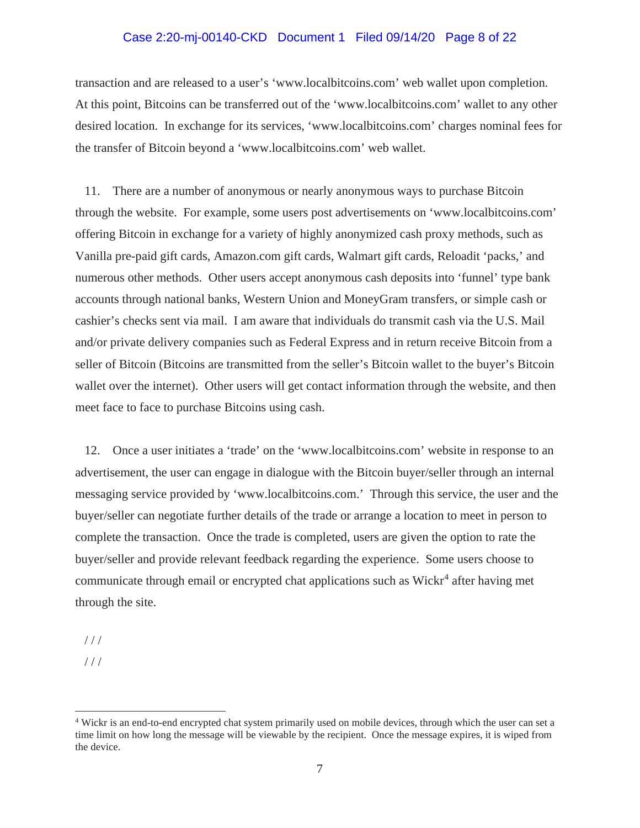# Case 2:20-mj-00140-CKD Document 1 Filed 09/14/20 Page 8 of 22

transaction and are released to a user's 'www.localbitcoins.com' web wallet upon completion. At this point, Bitcoins can be transferred out of the 'www.localbitcoins.com' wallet to any other desired location. In exchange for its services, 'www.localbitcoins.com' charges nominal fees for the transfer of Bitcoin beyond a 'www.localbitcoins.com' web wallet.

11. There are a number of anonymous or nearly anonymous ways to purchase Bitcoin through the website. For example, some users post advertisements on 'www.localbitcoins.com' offering Bitcoin in exchange for a variety of highly anonymized cash proxy methods, such as Vanilla pre-paid gift cards, Amazon.com gift cards, Walmart gift cards, Reloadit 'packs,' and numerous other methods. Other users accept anonymous cash deposits into 'funnel' type bank accounts through national banks, Western Union and MoneyGram transfers, or simple cash or cashier's checks sent via mail. I am aware that individuals do transmit cash via the U.S. Mail and/or private delivery companies such as Federal Express and in return receive Bitcoin from a seller of Bitcoin (Bitcoins are transmitted from the seller's Bitcoin wallet to the buyer's Bitcoin wallet over the internet). Other users will get contact information through the website, and then meet face to face to purchase Bitcoins using cash.

12. Once a user initiates a 'trade' on the 'www.localbitcoins.com' website in response to an advertisement, the user can engage in dialogue with the Bitcoin buyer/seller through an internal messaging service provided by 'www.localbitcoins.com.' Through this service, the user and the buyer/seller can negotiate further details of the trade or arrange a location to meet in person to complete the transaction. Once the trade is completed, users are given the option to rate the buyer/seller and provide relevant feedback regarding the experience. Some users choose to communicate through email or encrypted chat applications such as  $Wickr<sup>4</sup>$  after having met through the site.

 $1/1$ 

 $///$ 

<sup>4</sup> Wickr is an end-to-end encrypted chat system primarily used on mobile devices, through which the user can set a time limit on how long the message will be viewable by the recipient. Once the message expires, it is wiped from the device.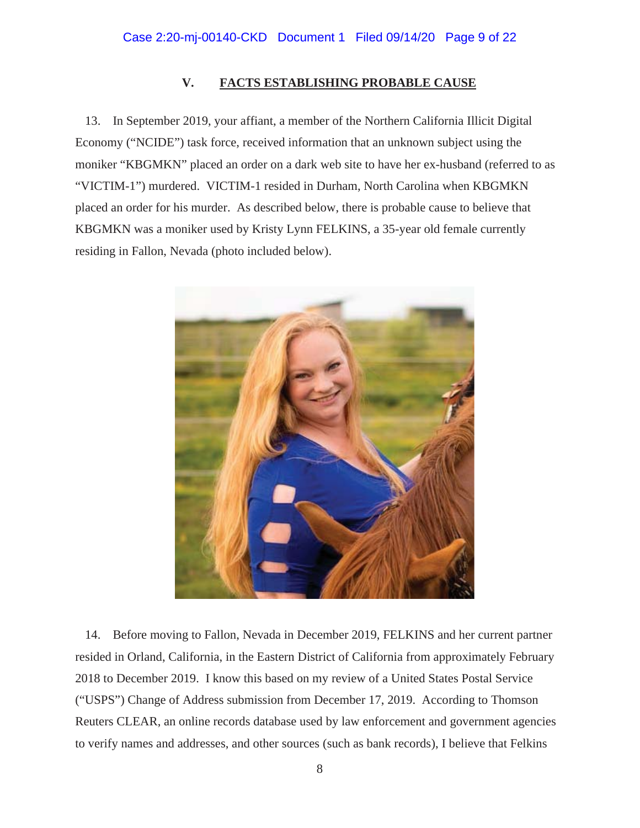# **V. FACTS ESTABLISHING PROBABLE CAUSE**

13. In September 2019, your affiant, a member of the Northern California Illicit Digital Economy ("NCIDE") task force, received information that an unknown subject using the moniker "KBGMKN" placed an order on a dark web site to have her ex-husband (referred to as "VICTIM-1") murdered. VICTIM-1 resided in Durham, North Carolina when KBGMKN placed an order for his murder. As described below, there is probable cause to believe that KBGMKN was a moniker used by Kristy Lynn FELKINS, a 35-year old female currently residing in Fallon, Nevada (photo included below).



14. Before moving to Fallon, Nevada in December 2019, FELKINS and her current partner resided in Orland, California, in the Eastern District of California from approximately February 2018 to December 2019. I know this based on my review of a United States Postal Service ("USPS") Change of Address submission from December 17, 2019. According to Thomson Reuters CLEAR, an online records database used by law enforcement and government agencies to verify names and addresses, and other sources (such as bank records), I believe that Felkins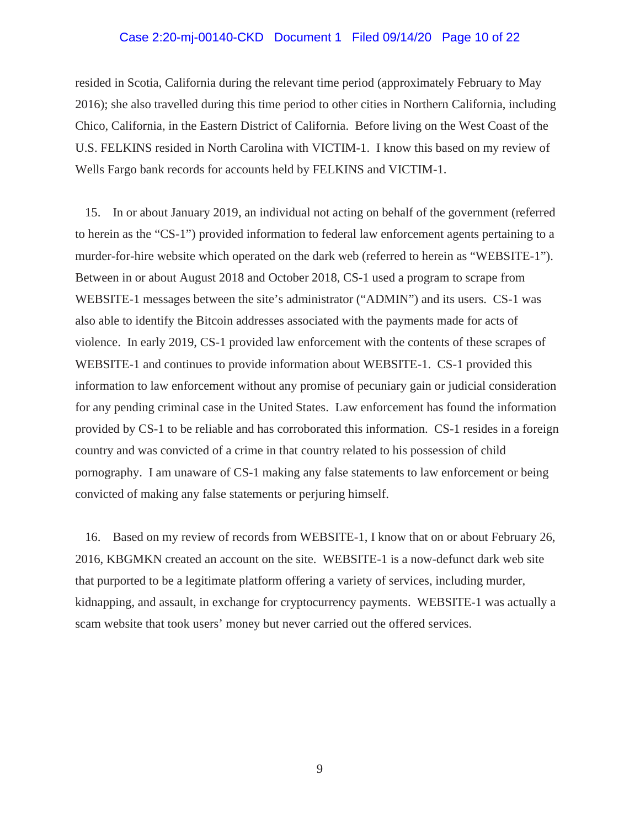#### Case 2:20-mj-00140-CKD Document 1 Filed 09/14/20 Page 10 of 22

resided in Scotia, California during the relevant time period (approximately February to May 2016); she also travelled during this time period to other cities in Northern California, including Chico, California, in the Eastern District of California. Before living on the West Coast of the U.S. FELKINS resided in North Carolina with VICTIM-1. I know this based on my review of Wells Fargo bank records for accounts held by FELKINS and VICTIM-1.

15. In or about January 2019, an individual not acting on behalf of the government (referred to herein as the "CS-1") provided information to federal law enforcement agents pertaining to a murder-for-hire website which operated on the dark web (referred to herein as "WEBSITE-1"). Between in or about August 2018 and October 2018, CS-1 used a program to scrape from WEBSITE-1 messages between the site's administrator ("ADMIN") and its users. CS-1 was also able to identify the Bitcoin addresses associated with the payments made for acts of violence. In early 2019, CS-1 provided law enforcement with the contents of these scrapes of WEBSITE-1 and continues to provide information about WEBSITE-1. CS-1 provided this information to law enforcement without any promise of pecuniary gain or judicial consideration for any pending criminal case in the United States. Law enforcement has found the information provided by CS-1 to be reliable and has corroborated this information. CS-1 resides in a foreign country and was convicted of a crime in that country related to his possession of child pornography. I am unaware of CS-1 making any false statements to law enforcement or being convicted of making any false statements or perjuring himself.

16. Based on my review of records from WEBSITE-1, I know that on or about February 26, 2016, KBGMKN created an account on the site. WEBSITE-1 is a now-defunct dark web site that purported to be a legitimate platform offering a variety of services, including murder, kidnapping, and assault, in exchange for cryptocurrency payments. WEBSITE-1 was actually a scam website that took users' money but never carried out the offered services.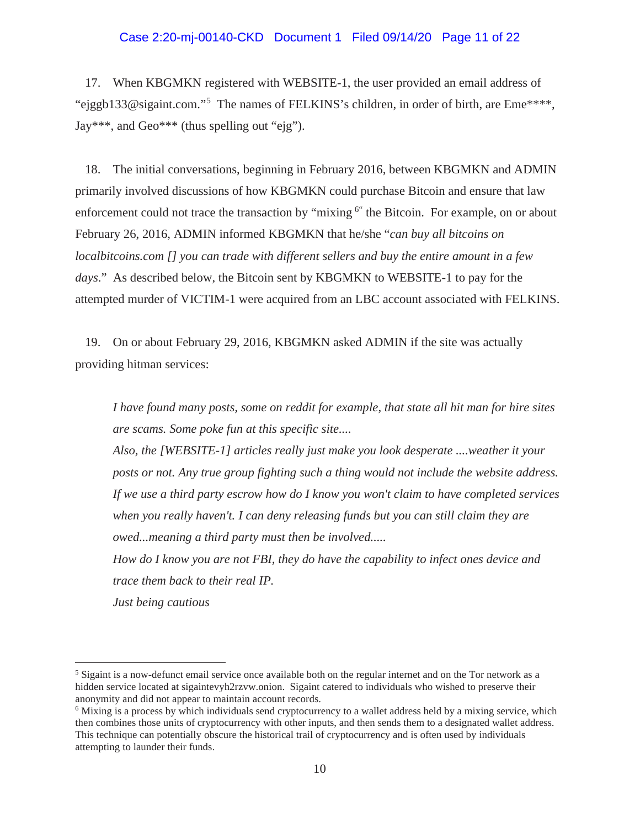#### Case 2:20-mj-00140-CKD Document 1 Filed 09/14/20 Page 11 of 22

17. When KBGMKN registered with WEBSITE-1, the user provided an email address of "ejggb133@sigaint.com."<sup>5</sup> The names of FELKINS's children, in order of birth, are Eme\*\*\*\*, Jay\*\*\*, and Geo\*\*\* (thus spelling out "ejg").

18. The initial conversations, beginning in February 2016, between KBGMKN and ADMIN primarily involved discussions of how KBGMKN could purchase Bitcoin and ensure that law enforcement could not trace the transaction by "mixing <sup>6"</sup> the Bitcoin. For example, on or about February 26, 2016, ADMIN informed KBGMKN that he/she "*can buy all bitcoins on localbitcoins.com [] you can trade with different sellers and buy the entire amount in a few days*." As described below, the Bitcoin sent by KBGMKN to WEBSITE-1 to pay for the attempted murder of VICTIM-1 were acquired from an LBC account associated with FELKINS.

19. On or about February 29, 2016, KBGMKN asked ADMIN if the site was actually providing hitman services:

*I have found many posts, some on reddit for example, that state all hit man for hire sites are scams. Some poke fun at this specific site....*

*Also, the [WEBSITE-1] articles really just make you look desperate ....weather it your posts or not. Any true group fighting such a thing would not include the website address. If we use a third party escrow how do I know you won't claim to have completed services when you really haven't. I can deny releasing funds but you can still claim they are owed...meaning a third party must then be involved.....*

*How do I know you are not FBI, they do have the capability to infect ones device and trace them back to their real IP. Just being cautious*

<sup>5</sup> Sigaint is a now-defunct email service once available both on the regular internet and on the Tor network as a hidden service located at sigaintevyh2rzvw.onion. Sigaint catered to individuals who wished to preserve their anonymity and did not appear to maintain account records.

<sup>&</sup>lt;sup>6</sup> Mixing is a process by which individuals send cryptocurrency to a wallet address held by a mixing service, which then combines those units of cryptocurrency with other inputs, and then sends them to a designated wallet address. This technique can potentially obscure the historical trail of cryptocurrency and is often used by individuals attempting to launder their funds.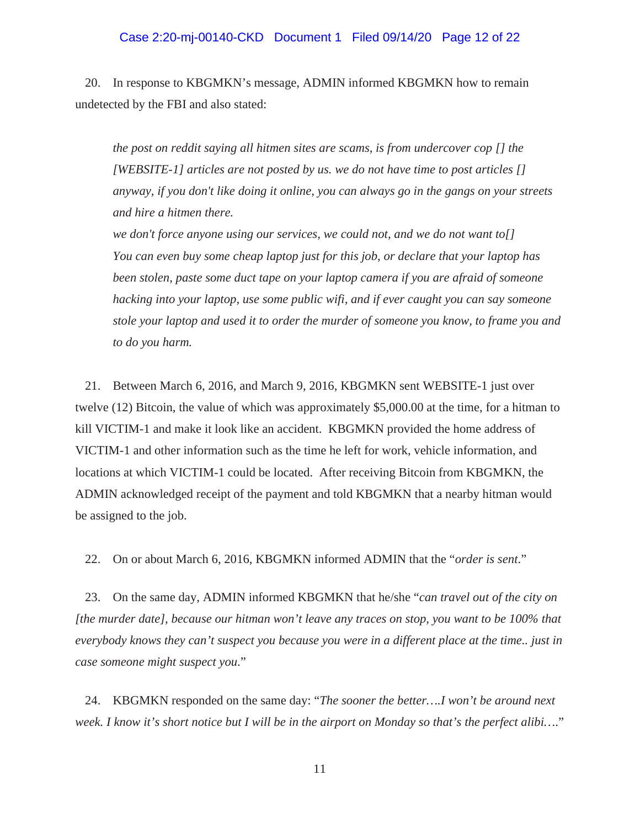#### Case 2:20-mj-00140-CKD Document 1 Filed 09/14/20 Page 12 of 22

20. In response to KBGMKN's message, ADMIN informed KBGMKN how to remain undetected by the FBI and also stated:

*the post on reddit saying all hitmen sites are scams, is from undercover cop [] the [WEBSITE-1] articles are not posted by us. we do not have time to post articles [] anyway, if you don't like doing it online, you can always go in the gangs on your streets and hire a hitmen there.* 

*we don't force anyone using our services, we could not, and we do not want to[] You can even buy some cheap laptop just for this job, or declare that your laptop has been stolen, paste some duct tape on your laptop camera if you are afraid of someone hacking into your laptop, use some public wifi, and if ever caught you can say someone stole your laptop and used it to order the murder of someone you know, to frame you and to do you harm.* 

21. Between March 6, 2016, and March 9, 2016, KBGMKN sent WEBSITE-1 just over twelve (12) Bitcoin, the value of which was approximately \$5,000.00 at the time, for a hitman to kill VICTIM-1 and make it look like an accident. KBGMKN provided the home address of VICTIM-1 and other information such as the time he left for work, vehicle information, and locations at which VICTIM-1 could be located. After receiving Bitcoin from KBGMKN, the ADMIN acknowledged receipt of the payment and told KBGMKN that a nearby hitman would be assigned to the job.

22. On or about March 6, 2016, KBGMKN informed ADMIN that the "*order is sent*."

23. On the same day, ADMIN informed KBGMKN that he/she "*can travel out of the city on [the murder date], because our hitman won't leave any traces on stop, you want to be 100% that everybody knows they can't suspect you because you were in a different place at the time.. just in case someone might suspect you*."

24. KBGMKN responded on the same day: "*The sooner the better….I won't be around next week. I know it's short notice but I will be in the airport on Monday so that's the perfect alibi…*."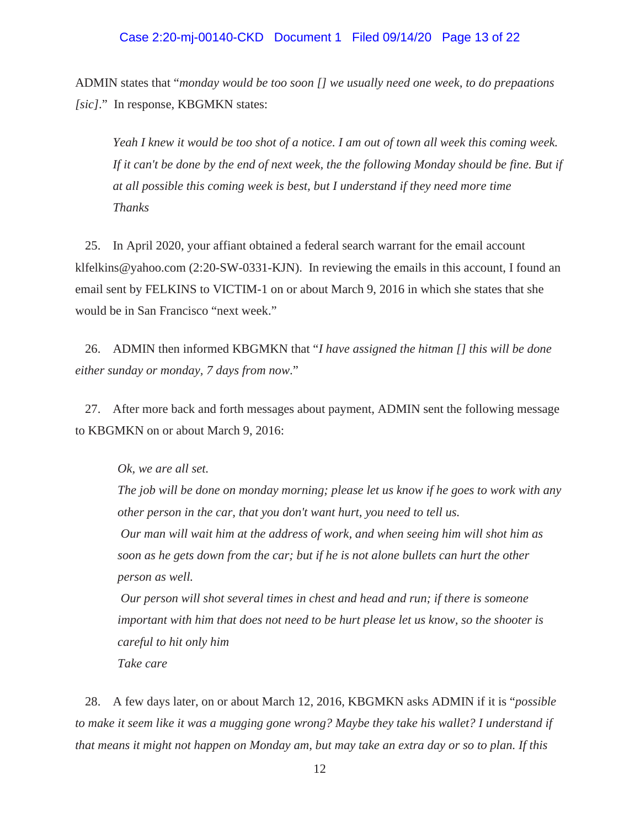#### Case 2:20-mj-00140-CKD Document 1 Filed 09/14/20 Page 13 of 22

ADMIN states that "*monday would be too soon [] we usually need one week, to do prepaations [sic]*." In response, KBGMKN states:

*Yeah I knew it would be too shot of a notice. I am out of town all week this coming week. If it can't be done by the end of next week, the the following Monday should be fine. But if at all possible this coming week is best, but I understand if they need more time Thanks*

25. In April 2020, your affiant obtained a federal search warrant for the email account klfelkins@yahoo.com (2:20-SW-0331-KJN). In reviewing the emails in this account, I found an email sent by FELKINS to VICTIM-1 on or about March 9, 2016 in which she states that she would be in San Francisco "next week."

26. ADMIN then informed KBGMKN that "*I have assigned the hitman [] this will be done either sunday or monday, 7 days from now*."

27. After more back and forth messages about payment, ADMIN sent the following message to KBGMKN on or about March 9, 2016:

*Ok, we are all set.*

*The job will be done on monday morning; please let us know if he goes to work with any other person in the car, that you don't want hurt, you need to tell us.*

*Our man will wait him at the address of work, and when seeing him will shot him as soon as he gets down from the car; but if he is not alone bullets can hurt the other person as well.*

*Our person will shot several times in chest and head and run; if there is someone important with him that does not need to be hurt please let us know, so the shooter is careful to hit only him Take care*

28. A few days later, on or about March 12, 2016, KBGMKN asks ADMIN if it is "*possible to make it seem like it was a mugging gone wrong? Maybe they take his wallet? I understand if that means it might not happen on Monday am, but may take an extra day or so to plan. If this*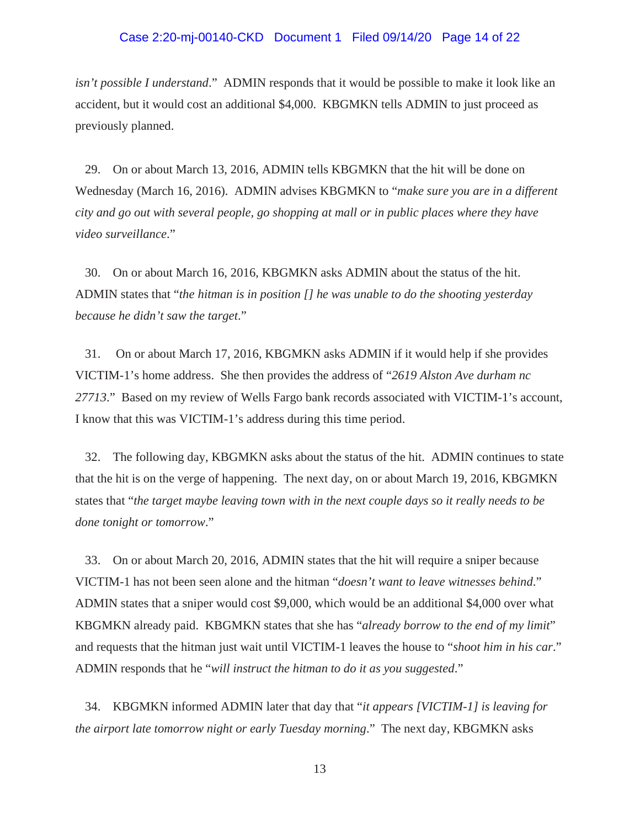#### Case 2:20-mj-00140-CKD Document 1 Filed 09/14/20 Page 14 of 22

*isn't possible I understand*." ADMIN responds that it would be possible to make it look like an accident, but it would cost an additional \$4,000. KBGMKN tells ADMIN to just proceed as previously planned.

29. On or about March 13, 2016, ADMIN tells KBGMKN that the hit will be done on Wednesday (March 16, 2016). ADMIN advises KBGMKN to "*make sure you are in a different city and go out with several people, go shopping at mall or in public places where they have video surveillance*."

30. On or about March 16, 2016, KBGMKN asks ADMIN about the status of the hit. ADMIN states that "*the hitman is in position [] he was unable to do the shooting yesterday because he didn't saw the target*."

31. On or about March 17, 2016, KBGMKN asks ADMIN if it would help if she provides VICTIM-1's home address. She then provides the address of "*2619 Alston Ave durham nc 27713*." Based on my review of Wells Fargo bank records associated with VICTIM-1's account, I know that this was VICTIM-1's address during this time period.

32. The following day, KBGMKN asks about the status of the hit. ADMIN continues to state that the hit is on the verge of happening. The next day, on or about March 19, 2016, KBGMKN states that "*the target maybe leaving town with in the next couple days so it really needs to be done tonight or tomorrow*."

33. On or about March 20, 2016, ADMIN states that the hit will require a sniper because VICTIM-1 has not been seen alone and the hitman "*doesn't want to leave witnesses behind*." ADMIN states that a sniper would cost \$9,000, which would be an additional \$4,000 over what KBGMKN already paid. KBGMKN states that she has "*already borrow to the end of my limit*" and requests that the hitman just wait until VICTIM-1 leaves the house to "*shoot him in his car*." ADMIN responds that he "*will instruct the hitman to do it as you suggested*."

34. KBGMKN informed ADMIN later that day that "*it appears [VICTIM-1] is leaving for the airport late tomorrow night or early Tuesday morning*." The next day, KBGMKN asks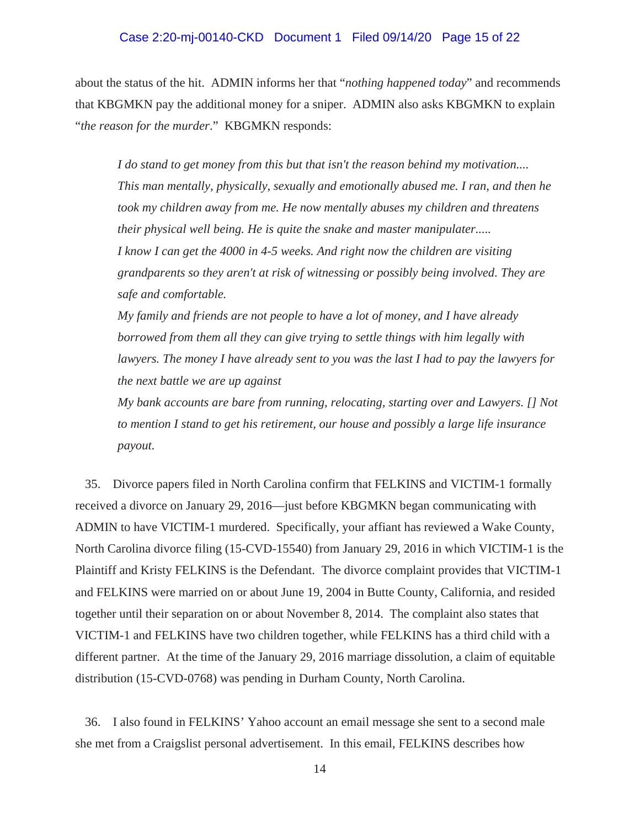### Case 2:20-mj-00140-CKD Document 1 Filed 09/14/20 Page 15 of 22

about the status of the hit. ADMIN informs her that "*nothing happened today*" and recommends that KBGMKN pay the additional money for a sniper. ADMIN also asks KBGMKN to explain "*the reason for the murder*." KBGMKN responds:

*I do stand to get money from this but that isn't the reason behind my motivation.... This man mentally, physically, sexually and emotionally abused me. I ran, and then he took my children away from me. He now mentally abuses my children and threatens their physical well being. He is quite the snake and master manipulater..... I know I can get the 4000 in 4-5 weeks. And right now the children are visiting grandparents so they aren't at risk of witnessing or possibly being involved. They are safe and comfortable.*

*My family and friends are not people to have a lot of money, and I have already borrowed from them all they can give trying to settle things with him legally with lawyers. The money I have already sent to you was the last I had to pay the lawyers for the next battle we are up against*

*My bank accounts are bare from running, relocating, starting over and Lawyers. [] Not to mention I stand to get his retirement, our house and possibly a large life insurance payout.*

35. Divorce papers filed in North Carolina confirm that FELKINS and VICTIM-1 formally received a divorce on January 29, 2016—just before KBGMKN began communicating with ADMIN to have VICTIM-1 murdered. Specifically, your affiant has reviewed a Wake County, North Carolina divorce filing (15-CVD-15540) from January 29, 2016 in which VICTIM-1 is the Plaintiff and Kristy FELKINS is the Defendant. The divorce complaint provides that VICTIM-1 and FELKINS were married on or about June 19, 2004 in Butte County, California, and resided together until their separation on or about November 8, 2014. The complaint also states that VICTIM-1 and FELKINS have two children together, while FELKINS has a third child with a different partner. At the time of the January 29, 2016 marriage dissolution, a claim of equitable distribution (15-CVD-0768) was pending in Durham County, North Carolina.

36. I also found in FELKINS' Yahoo account an email message she sent to a second male she met from a Craigslist personal advertisement. In this email, FELKINS describes how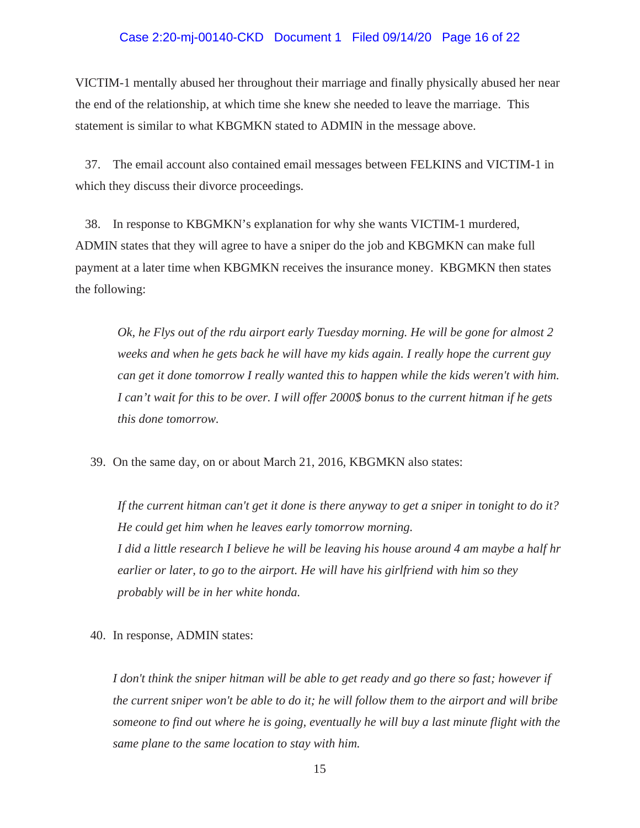#### Case 2:20-mj-00140-CKD Document 1 Filed 09/14/20 Page 16 of 22

VICTIM-1 mentally abused her throughout their marriage and finally physically abused her near the end of the relationship, at which time she knew she needed to leave the marriage. This statement is similar to what KBGMKN stated to ADMIN in the message above.

37. The email account also contained email messages between FELKINS and VICTIM-1 in which they discuss their divorce proceedings.

38. In response to KBGMKN's explanation for why she wants VICTIM-1 murdered, ADMIN states that they will agree to have a sniper do the job and KBGMKN can make full payment at a later time when KBGMKN receives the insurance money. KBGMKN then states the following:

*Ok, he Flys out of the rdu airport early Tuesday morning. He will be gone for almost 2 weeks and when he gets back he will have my kids again. I really hope the current guy can get it done tomorrow I really wanted this to happen while the kids weren't with him. I can't wait for this to be over. I will offer 2000\$ bonus to the current hitman if he gets this done tomorrow.*

39. On the same day, on or about March 21, 2016, KBGMKN also states:

*If the current hitman can't get it done is there anyway to get a sniper in tonight to do it? He could get him when he leaves early tomorrow morning. I did a little research I believe he will be leaving his house around 4 am maybe a half hr earlier or later, to go to the airport. He will have his girlfriend with him so they probably will be in her white honda.*

40. In response, ADMIN states:

*I don't think the sniper hitman will be able to get ready and go there so fast; however if the current sniper won't be able to do it; he will follow them to the airport and will bribe someone to find out where he is going, eventually he will buy a last minute flight with the same plane to the same location to stay with him.*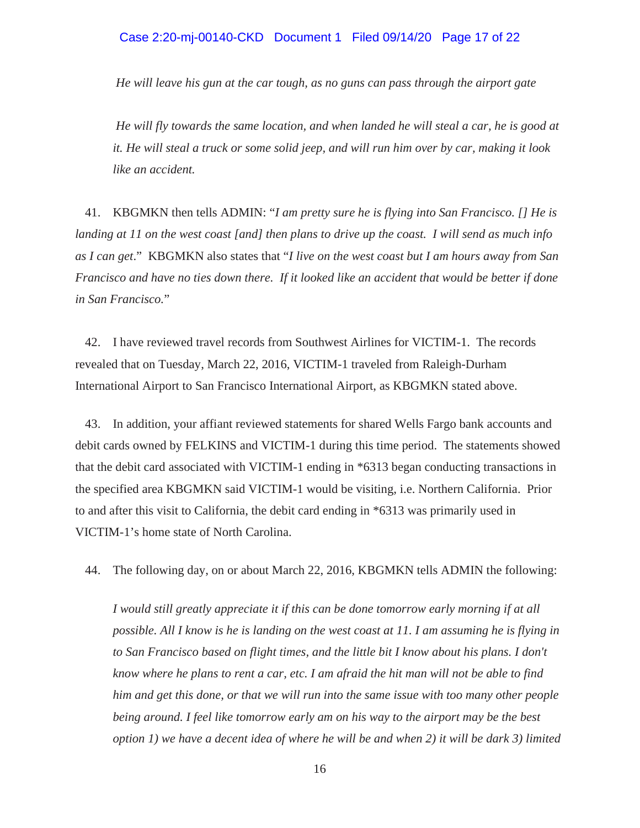# Case 2:20-mj-00140-CKD Document 1 Filed 09/14/20 Page 17 of 22

*He will leave his gun at the car tough, as no guns can pass through the airport gate*

*He will fly towards the same location, and when landed he will steal a car, he is good at it. He will steal a truck or some solid jeep, and will run him over by car, making it look like an accident.*

41. KBGMKN then tells ADMIN: "*I am pretty sure he is flying into San Francisco. [] He is landing at 11 on the west coast [and] then plans to drive up the coast. I will send as much info as I can get*." KBGMKN also states that "*I live on the west coast but I am hours away from San Francisco and have no ties down there. If it looked like an accident that would be better if done in San Francisco.*"

42. I have reviewed travel records from Southwest Airlines for VICTIM-1. The records revealed that on Tuesday, March 22, 2016, VICTIM-1 traveled from Raleigh-Durham International Airport to San Francisco International Airport, as KBGMKN stated above.

43. In addition, your affiant reviewed statements for shared Wells Fargo bank accounts and debit cards owned by FELKINS and VICTIM-1 during this time period. The statements showed that the debit card associated with VICTIM-1 ending in \*6313 began conducting transactions in the specified area KBGMKN said VICTIM-1 would be visiting, i.e. Northern California. Prior to and after this visit to California, the debit card ending in \*6313 was primarily used in VICTIM-1's home state of North Carolina.

44. The following day, on or about March 22, 2016, KBGMKN tells ADMIN the following:

*I would still greatly appreciate it if this can be done tomorrow early morning if at all possible. All I know is he is landing on the west coast at 11. I am assuming he is flying in to San Francisco based on flight times, and the little bit I know about his plans. I don't know where he plans to rent a car, etc. I am afraid the hit man will not be able to find him and get this done, or that we will run into the same issue with too many other people being around. I feel like tomorrow early am on his way to the airport may be the best option 1) we have a decent idea of where he will be and when 2) it will be dark 3) limited*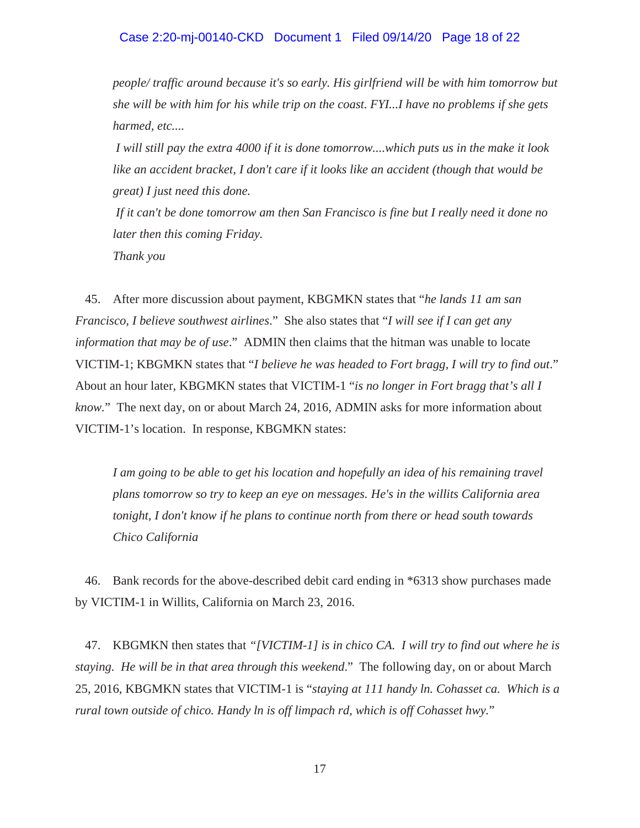#### Case 2:20-mj-00140-CKD Document 1 Filed 09/14/20 Page 18 of 22

*people/ traffic around because it's so early. His girlfriend will be with him tomorrow but she will be with him for his while trip on the coast. FYI...I have no problems if she gets harmed, etc....*

*I will still pay the extra 4000 if it is done tomorrow....which puts us in the make it look like an accident bracket, I don't care if it looks like an accident (though that would be great) I just need this done.*

*If it can't be done tomorrow am then San Francisco is fine but I really need it done no later then this coming Friday.*

*Thank you*

45. After more discussion about payment, KBGMKN states that "*he lands 11 am san Francisco, I believe southwest airlines*." She also states that "*I will see if I can get any information that may be of use*." ADMIN then claims that the hitman was unable to locate VICTIM-1; KBGMKN states that "*I believe he was headed to Fort bragg, I will try to find out*." About an hour later, KBGMKN states that VICTIM-1 "*is no longer in Fort bragg that's all I know.*" The next day, on or about March 24, 2016, ADMIN asks for more information about VICTIM-1's location. In response, KBGMKN states:

*I am going to be able to get his location and hopefully an idea of his remaining travel plans tomorrow so try to keep an eye on messages. He's in the willits California area tonight, I don't know if he plans to continue north from there or head south towards Chico California*

46. Bank records for the above-described debit card ending in \*6313 show purchases made by VICTIM-1 in Willits, California on March 23, 2016.

47. KBGMKN then states that *"[VICTIM-1] is in chico CA. I will try to find out where he is staying. He will be in that area through this weekend*." The following day, on or about March 25, 2016, KBGMKN states that VICTIM-1 is "*staying at 111 handy ln. Cohasset ca. Which is a rural town outside of chico. Handy ln is off limpach rd, which is off Cohasset hwy.*"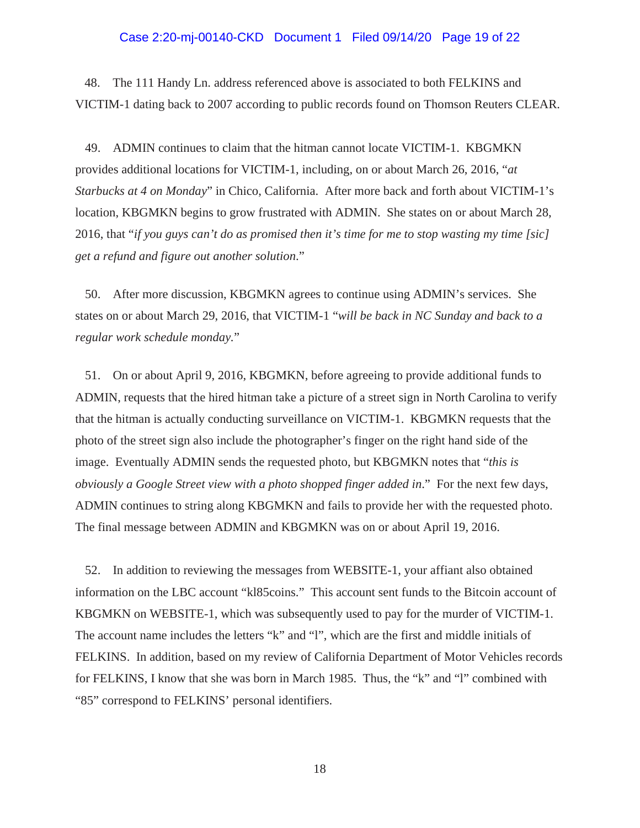#### Case 2:20-mj-00140-CKD Document 1 Filed 09/14/20 Page 19 of 22

48. The 111 Handy Ln. address referenced above is associated to both FELKINS and VICTIM-1 dating back to 2007 according to public records found on Thomson Reuters CLEAR.

49. ADMIN continues to claim that the hitman cannot locate VICTIM-1. KBGMKN provides additional locations for VICTIM-1, including, on or about March 26, 2016, "*at Starbucks at 4 on Monday*" in Chico, California. After more back and forth about VICTIM-1's location, KBGMKN begins to grow frustrated with ADMIN. She states on or about March 28, 2016, that "*if you guys can't do as promised then it's time for me to stop wasting my time [sic] get a refund and figure out another solution*."

50. After more discussion, KBGMKN agrees to continue using ADMIN's services. She states on or about March 29, 2016, that VICTIM-1 "*will be back in NC Sunday and back to a regular work schedule monday.*"

51. On or about April 9, 2016, KBGMKN, before agreeing to provide additional funds to ADMIN, requests that the hired hitman take a picture of a street sign in North Carolina to verify that the hitman is actually conducting surveillance on VICTIM-1. KBGMKN requests that the photo of the street sign also include the photographer's finger on the right hand side of the image. Eventually ADMIN sends the requested photo, but KBGMKN notes that "*this is obviously a Google Street view with a photo shopped finger added in*." For the next few days, ADMIN continues to string along KBGMKN and fails to provide her with the requested photo. The final message between ADMIN and KBGMKN was on or about April 19, 2016.

52. In addition to reviewing the messages from WEBSITE-1, your affiant also obtained information on the LBC account "kl85coins." This account sent funds to the Bitcoin account of KBGMKN on WEBSITE-1, which was subsequently used to pay for the murder of VICTIM-1. The account name includes the letters "k" and "l", which are the first and middle initials of FELKINS. In addition, based on my review of California Department of Motor Vehicles records for FELKINS, I know that she was born in March 1985. Thus, the "k" and "l" combined with "85" correspond to FELKINS' personal identifiers.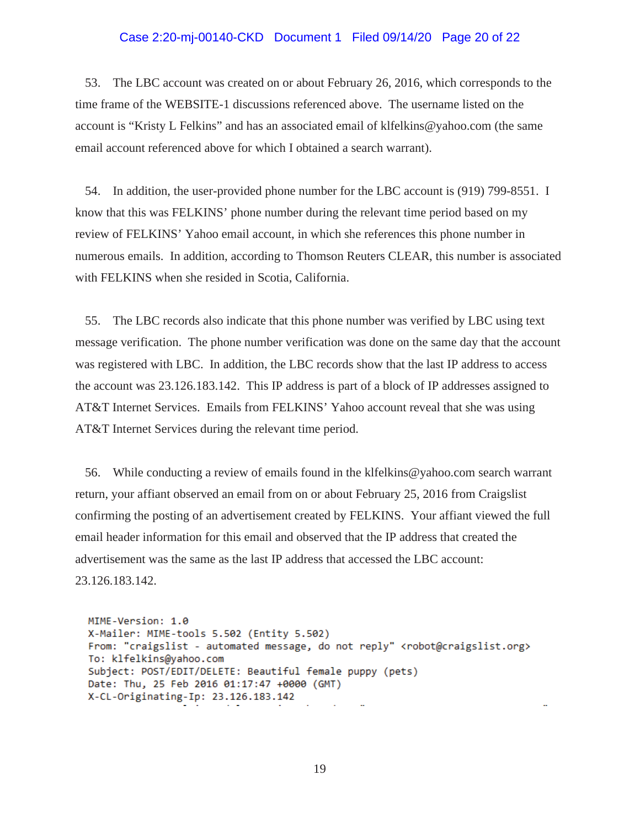#### Case 2:20-mj-00140-CKD Document 1 Filed 09/14/20 Page 20 of 22

53. The LBC account was created on or about February 26, 2016, which corresponds to the time frame of the WEBSITE-1 discussions referenced above. The username listed on the account is "Kristy L Felkins" and has an associated email of klfelkins@yahoo.com (the same email account referenced above for which I obtained a search warrant).

54. In addition, the user-provided phone number for the LBC account is (919) 799-8551. I know that this was FELKINS' phone number during the relevant time period based on my review of FELKINS' Yahoo email account, in which she references this phone number in numerous emails. In addition, according to Thomson Reuters CLEAR, this number is associated with FELKINS when she resided in Scotia, California.

55. The LBC records also indicate that this phone number was verified by LBC using text message verification. The phone number verification was done on the same day that the account was registered with LBC. In addition, the LBC records show that the last IP address to access the account was 23.126.183.142. This IP address is part of a block of IP addresses assigned to AT&T Internet Services. Emails from FELKINS' Yahoo account reveal that she was using AT&T Internet Services during the relevant time period.

56. While conducting a review of emails found in the klfelkins@yahoo.com search warrant return, your affiant observed an email from on or about February 25, 2016 from Craigslist confirming the posting of an advertisement created by FELKINS. Your affiant viewed the full email header information for this email and observed that the IP address that created the advertisement was the same as the last IP address that accessed the LBC account: 23.126.183.142.

MIME-Version: 1.0 X-Mailer: MIME-tools 5.502 (Entity 5.502) From: "craigslist - automated message, do not reply" <robot@craigslist.org> To: klfelkins@yahoo.com Subject: POST/EDIT/DELETE: Beautiful female puppy (pets) Date: Thu, 25 Feb 2016 01:17:47 +0000 (GMT) X-CL-Originating-Ip: 23.126.183.142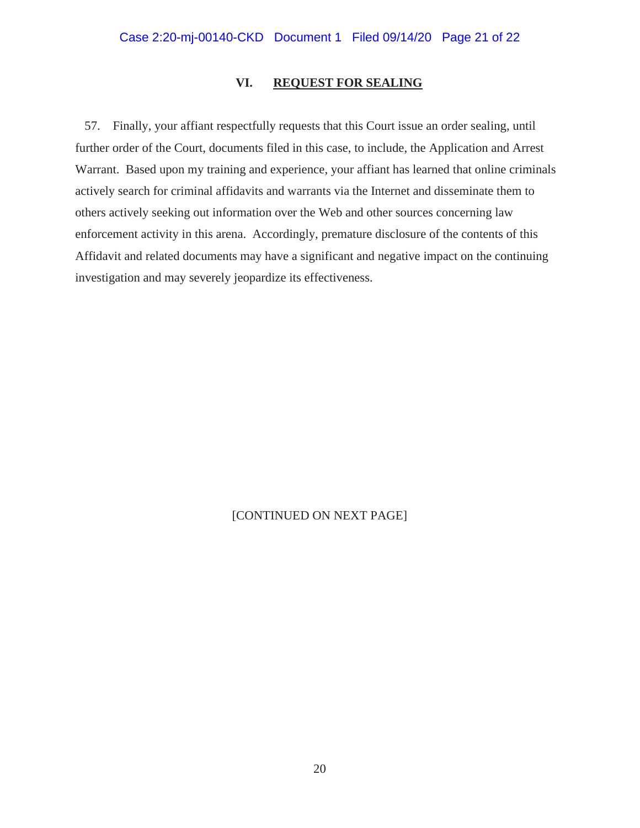## **VI. REQUEST FOR SEALING**

57. Finally, your affiant respectfully requests that this Court issue an order sealing, until further order of the Court, documents filed in this case, to include, the Application and Arrest Warrant. Based upon my training and experience, your affiant has learned that online criminals actively search for criminal affidavits and warrants via the Internet and disseminate them to others actively seeking out information over the Web and other sources concerning law enforcement activity in this arena. Accordingly, premature disclosure of the contents of this Affidavit and related documents may have a significant and negative impact on the continuing investigation and may severely jeopardize its effectiveness.

# [CONTINUED ON NEXT PAGE]